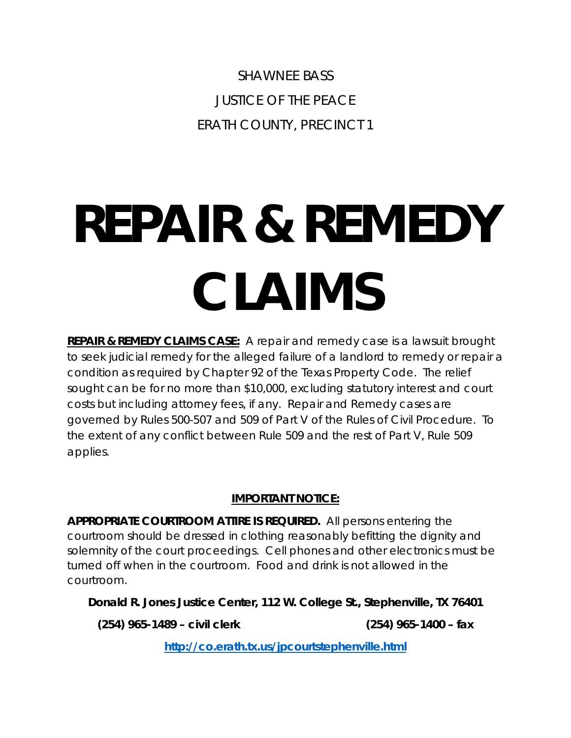SHAWNEE BASS JUSTICE OF THE PEACE ERATH COUNTY, PRECINCT 1

# **REPAIR & REMEDY CLAIMS**

**REPAIR & REMEDY CLAIMS CASE:** A repair and remedy case is a lawsuit brought to seek judicial remedy for the alleged failure of a landlord to remedy or repair a condition as required by Chapter 92 of the Texas Property Code. The relief sought can be for no more than \$10,000, excluding statutory interest and court costs but including attorney fees, if any. Repair and Remedy cases are governed by Rules 500-507 and 509 of Part V of the Rules of Civil Procedure. To the extent of any conflict between Rule 509 and the rest of Part V, Rule 509 applies.

# **IMPORTANT NOTICE:**

**APPROPRIATE COURTROOM ATTIRE IS REQUIRED.** All persons entering the courtroom should be dressed in clothing reasonably befitting the dignity and solemnity of the court proceedings. Cell phones and other electronics must be turned off when in the courtroom. Food and drink is not allowed in the courtroom.

**Donald R. Jones Justice Center, 112 W. College St., Stephenville, TX 76401**

**(254) 965-1489 – civil clerk (254) 965-1400 – fax**

**<http://co.erath.tx.us/jpcourtstephenville.html>**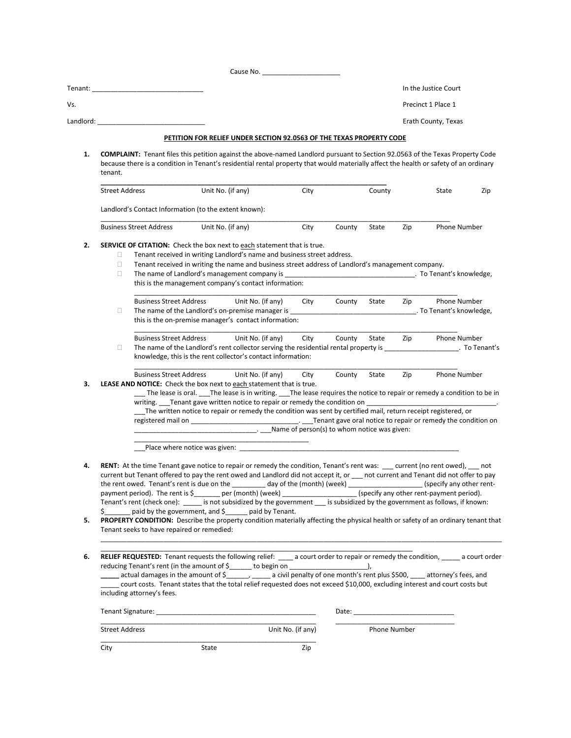|          | Tenant: Tenant:                                                                                                                                                                                                                                                                                                                                                                                                                                                                                                                                                                                                                                                                                                                                                                                                                                                                                                       |                                                                                                                                                                                                                                                                                                                                                                 |                                                                                        |      |        |              |     | In the Justice Court                 |     |
|----------|-----------------------------------------------------------------------------------------------------------------------------------------------------------------------------------------------------------------------------------------------------------------------------------------------------------------------------------------------------------------------------------------------------------------------------------------------------------------------------------------------------------------------------------------------------------------------------------------------------------------------------------------------------------------------------------------------------------------------------------------------------------------------------------------------------------------------------------------------------------------------------------------------------------------------|-----------------------------------------------------------------------------------------------------------------------------------------------------------------------------------------------------------------------------------------------------------------------------------------------------------------------------------------------------------------|----------------------------------------------------------------------------------------|------|--------|--------------|-----|--------------------------------------|-----|
| Vs.      |                                                                                                                                                                                                                                                                                                                                                                                                                                                                                                                                                                                                                                                                                                                                                                                                                                                                                                                       |                                                                                                                                                                                                                                                                                                                                                                 |                                                                                        |      |        |              |     | Precinct 1 Place 1                   |     |
|          | Landlord: the contract of the contract of the contract of the contract of the contract of the contract of the contract of the contract of the contract of the contract of the contract of the contract of the contract of the                                                                                                                                                                                                                                                                                                                                                                                                                                                                                                                                                                                                                                                                                         |                                                                                                                                                                                                                                                                                                                                                                 |                                                                                        |      |        |              |     | Erath County, Texas                  |     |
|          |                                                                                                                                                                                                                                                                                                                                                                                                                                                                                                                                                                                                                                                                                                                                                                                                                                                                                                                       | PETITION FOR RELIEF UNDER SECTION 92.0563 OF THE TEXAS PROPERTY CODE                                                                                                                                                                                                                                                                                            |                                                                                        |      |        |              |     |                                      |     |
| 1.       | <b>COMPLAINT:</b> Tenant files this petition against the above-named Landlord pursuant to Section 92.0563 of the Texas Property Code                                                                                                                                                                                                                                                                                                                                                                                                                                                                                                                                                                                                                                                                                                                                                                                  |                                                                                                                                                                                                                                                                                                                                                                 |                                                                                        |      |        |              |     |                                      |     |
|          | because there is a condition in Tenant's residential rental property that would materially affect the health or safety of an ordinary<br>tenant.                                                                                                                                                                                                                                                                                                                                                                                                                                                                                                                                                                                                                                                                                                                                                                      |                                                                                                                                                                                                                                                                                                                                                                 |                                                                                        |      |        |              |     |                                      |     |
|          | <b>Street Address</b>                                                                                                                                                                                                                                                                                                                                                                                                                                                                                                                                                                                                                                                                                                                                                                                                                                                                                                 | Unit No. (if any)                                                                                                                                                                                                                                                                                                                                               |                                                                                        | City |        | County       |     | State                                | Zip |
|          | Landlord's Contact Information (to the extent known):                                                                                                                                                                                                                                                                                                                                                                                                                                                                                                                                                                                                                                                                                                                                                                                                                                                                 |                                                                                                                                                                                                                                                                                                                                                                 |                                                                                        |      |        |              |     |                                      |     |
|          | <b>Business Street Address</b>                                                                                                                                                                                                                                                                                                                                                                                                                                                                                                                                                                                                                                                                                                                                                                                                                                                                                        | Unit No. (if any)                                                                                                                                                                                                                                                                                                                                               |                                                                                        | City | County | State        | Zip | Phone Number                         |     |
| 2.       | <b>SERVICE OF CITATION:</b> Check the box next to each statement that is true.<br>$\Box$<br>$\Box$<br>$\Box$                                                                                                                                                                                                                                                                                                                                                                                                                                                                                                                                                                                                                                                                                                                                                                                                          | Tenant received in writing Landlord's name and business street address.<br>Tenant received in writing the name and business street address of Landlord's management company.<br>this is the management company's contact information:                                                                                                                           |                                                                                        |      |        |              |     |                                      |     |
|          | <b>Business Street Address</b>                                                                                                                                                                                                                                                                                                                                                                                                                                                                                                                                                                                                                                                                                                                                                                                                                                                                                        |                                                                                                                                                                                                                                                                                                                                                                 | Unit No. (if any)                                                                      | City | County | State        | Zip | Phone Number                         |     |
|          | $\Box$                                                                                                                                                                                                                                                                                                                                                                                                                                                                                                                                                                                                                                                                                                                                                                                                                                                                                                                | The name of the Landlord's on-premise manager is example to the state of the Name of the Landlord's on-premise manager is<br>this is the on-premise manager's contact information:                                                                                                                                                                              |                                                                                        |      |        |              |     |                                      |     |
|          | <b>Business Street Address</b><br>$\Box$                                                                                                                                                                                                                                                                                                                                                                                                                                                                                                                                                                                                                                                                                                                                                                                                                                                                              | The name of the Landlord's rent collector serving the residential rental property is<br>knowledge, this is the rent collector's contact information:                                                                                                                                                                                                            | Unit No. (if any)                                                                      | City | County | State        | Zip | <b>Phone Number</b><br>. To Tenant's |     |
| 3.       | <b>Business Street Address</b><br><b>LEASE AND NOTICE:</b> Check the box next to each statement that is true.                                                                                                                                                                                                                                                                                                                                                                                                                                                                                                                                                                                                                                                                                                                                                                                                         | __ The lease is oral. ___The lease is in writing. ___The lease requires the notice to repair or remedy a condition to be in<br>writing. Tenant gave written notice to repair or remedy the condition on Tenant Christmas and the state of the<br>The written notice to repair or remedy the condition was sent by certified mail, return receipt registered, or | Unit No. (if any)<br>_______________. _____Name of person(s) to whom notice was given: | City | County | State        | Zip | Phone Number                         |     |
|          |                                                                                                                                                                                                                                                                                                                                                                                                                                                                                                                                                                                                                                                                                                                                                                                                                                                                                                                       |                                                                                                                                                                                                                                                                                                                                                                 |                                                                                        |      |        |              |     |                                      |     |
| 4.<br>5. | RENT: At the time Tenant gave notice to repair or remedy the condition, Tenant's rent was: ___ current (no rent owed), __ not<br>current but Tenant offered to pay the rent owed and Landlord did not accept it, or ___ not current and Tenant did not offer to pay<br>the rent owed. Tenant's rent is due on the ________ day of the (month) (week) ___________________(specify any other rent-<br>payment period). The rent is \$______ per (month) (week) _________________(specify any other rent-payment period).<br>Tenant's rent (check one): ______ is not subsidized by the government ____ is subsidized by the government as follows, if known:<br>\$ secondary the government, and \$ secondary paid by Tenant.<br><b>PROPERTY CONDITION:</b> Describe the property condition materially affecting the physical health or safety of an ordinary tenant that<br>Tenant seeks to have repaired or remedied: |                                                                                                                                                                                                                                                                                                                                                                 |                                                                                        |      |        |              |     |                                      |     |
|          |                                                                                                                                                                                                                                                                                                                                                                                                                                                                                                                                                                                                                                                                                                                                                                                                                                                                                                                       |                                                                                                                                                                                                                                                                                                                                                                 |                                                                                        |      |        |              |     |                                      |     |
| 6.       | RELIEF REQUESTED: Tenant requests the following relief: ____ a court order to repair or remedy the condition, _____ a court order<br>reducing Tenant's rent (in the amount of \$ (1) to begin on (2) the sum contained and the amount of \$ (2) to begin on (2) to begin on (2) to begin on (2) to begin on (2) to begin on (2) to begin on (2) to begin on (2) to be<br>actual damages in the amount of \$______, _____ a civil penalty of one month's rent plus \$500, ____ attorney's fees, and<br>court costs. Tenant states that the total relief requested does not exceed \$10,000, excluding interest and court costs but<br>including attorney's fees.                                                                                                                                                                                                                                                       |                                                                                                                                                                                                                                                                                                                                                                 |                                                                                        |      |        |              |     |                                      |     |
|          |                                                                                                                                                                                                                                                                                                                                                                                                                                                                                                                                                                                                                                                                                                                                                                                                                                                                                                                       |                                                                                                                                                                                                                                                                                                                                                                 |                                                                                        |      |        |              |     |                                      |     |
|          |                                                                                                                                                                                                                                                                                                                                                                                                                                                                                                                                                                                                                                                                                                                                                                                                                                                                                                                       |                                                                                                                                                                                                                                                                                                                                                                 |                                                                                        |      |        |              |     |                                      |     |
|          | <b>Street Address</b>                                                                                                                                                                                                                                                                                                                                                                                                                                                                                                                                                                                                                                                                                                                                                                                                                                                                                                 |                                                                                                                                                                                                                                                                                                                                                                 | Unit No. (if any)                                                                      |      |        | Phone Number |     |                                      |     |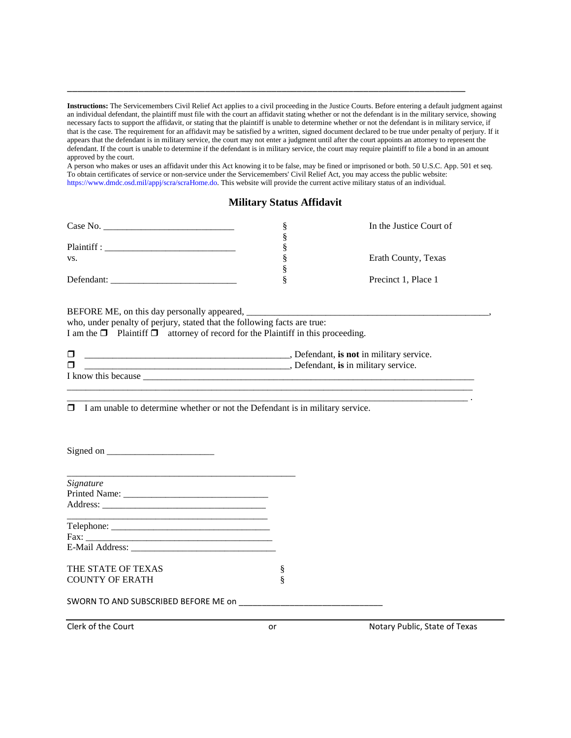**Instructions:** The Servicemembers Civil Relief Act applies to a civil proceeding in the Justice Courts. Before entering a default judgment against an individual defendant, the plaintiff must file with the court an affidavit stating whether or not the defendant is in the military service, showing necessary facts to support the affidavit, or stating that the plaintiff is unable to determine whether or not the defendant is in military service, if that is the case. The requirement for an affidavit may be satisfied by a written, signed document declared to be true under penalty of perjury. If it appears that the defendant is in military service, the court may not enter a judgment until after the court appoints an attorney to represent the defendant. If the court is unable to determine if the defendant is in military service, the court may require plaintiff to file a bond in an amount approved by the court.

\_\_\_\_\_\_\_\_\_\_\_\_\_\_\_\_\_\_\_\_\_\_\_\_\_\_\_\_\_\_\_\_\_\_\_\_\_\_\_\_\_\_\_\_\_\_\_\_\_\_\_\_\_\_\_\_\_\_\_\_\_\_\_\_\_\_\_\_\_\_\_\_\_\_\_\_\_\_

A person who makes or uses an affidavit under this Act knowing it to be false, may be fined or imprisoned or both. 50 U.S.C. App. 501 et seq. To obtain certificates of service or non-service under the Servicemembers' Civil Relief Act, you may access the public website: https://www.dmdc.osd.mil/appj/scra/scraHome.do. This website will provide the current active military status of an individual.

## **Military Status Affidavit**

| Case No.    | In the Justice Court of |
|-------------|-------------------------|
|             |                         |
| Plaintiff : |                         |
| VS.         | Erath County, Texas     |
|             |                         |
| Defendant:  | Precinct 1, Place 1     |

#### BEFORE ME, on this day personally appeared,

who, under penalty of perjury, stated that the following facts are true:

I am the  $\Box$  Plaintiff  $\Box$  attorney of record for the Plaintiff in this proceeding.

|                          | defendant, is not in military<br>service. |
|--------------------------|-------------------------------------------|
| _                        | Defendant, is in military                 |
| know<br>TN <sub>15</sub> |                                           |

\_\_\_\_\_\_\_\_\_\_\_\_\_\_\_\_\_\_\_\_\_\_\_\_\_\_\_\_\_\_\_\_\_\_\_\_\_\_\_\_\_\_\_\_\_\_\_\_\_\_\_\_\_\_\_\_\_\_\_\_\_\_\_\_\_\_\_\_\_\_\_\_\_\_\_\_\_\_\_\_\_\_\_\_\_\_\_

\_\_\_\_\_\_\_\_\_\_\_\_\_\_\_\_\_\_\_\_\_\_\_\_\_\_\_\_\_\_\_\_\_\_\_\_\_\_\_\_\_\_\_\_\_\_\_\_\_\_\_\_\_\_\_\_\_\_\_\_\_\_\_\_\_\_\_\_\_\_\_\_\_\_\_\_\_\_\_\_\_\_\_\_\_\_ .  $\Box$  I am unable to determine whether or not the Defendant is in military service.

| Signed on $\frac{1}{\sqrt{1-\frac{1}{2}}}\left\{ \frac{1}{2} + \frac{1}{2} \frac{1}{2} + \frac{1}{2} \frac{1}{2} + \frac{1}{2} \frac{1}{2} + \frac{1}{2} \frac{1}{2} + \frac{1}{2} \frac{1}{2} + \frac{1}{2} \frac{1}{2} + \frac{1}{2} \frac{1}{2} + \frac{1}{2} \frac{1}{2} + \frac{1}{2} \frac{1}{2} + \frac{1}{2} \frac{1}{2} + \frac{1}{2} \frac{1}{2} + \frac{1}{2} \frac{1}{2} + \frac$ |   |  |
|-----------------------------------------------------------------------------------------------------------------------------------------------------------------------------------------------------------------------------------------------------------------------------------------------------------------------------------------------------------------------------------------------|---|--|
|                                                                                                                                                                                                                                                                                                                                                                                               |   |  |
| <b>Signature</b>                                                                                                                                                                                                                                                                                                                                                                              |   |  |
|                                                                                                                                                                                                                                                                                                                                                                                               |   |  |
|                                                                                                                                                                                                                                                                                                                                                                                               |   |  |
| $\text{Telephone:}\n\quad \text{________}$                                                                                                                                                                                                                                                                                                                                                    |   |  |
|                                                                                                                                                                                                                                                                                                                                                                                               |   |  |
|                                                                                                                                                                                                                                                                                                                                                                                               |   |  |
| THE STATE OF TEXAS                                                                                                                                                                                                                                                                                                                                                                            | ş |  |
| <b>COUNTY OF ERATH</b>                                                                                                                                                                                                                                                                                                                                                                        |   |  |
|                                                                                                                                                                                                                                                                                                                                                                                               |   |  |
|                                                                                                                                                                                                                                                                                                                                                                                               |   |  |